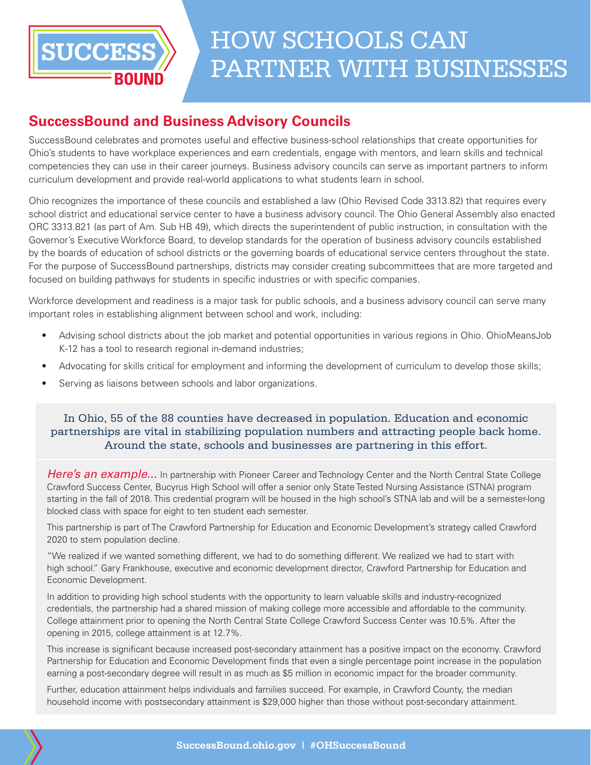

## HOW SCHOOLS CAN PARTNER WITH BUSINESSES

### **SuccessBound and Business Advisory Councils**

SuccessBound celebrates and promotes useful and effective business-school relationships that create opportunities for Ohio's students to have workplace experiences and earn credentials, engage with mentors, and learn skills and technical competencies they can use in their career journeys. Business advisory councils can serve as important partners to inform curriculum development and provide real-world applications to what students learn in school.

Ohio recognizes the importance of these councils and established a law (Ohio Revised Code 3313.82) that requires every school district and educational service center to have a business advisory council. The Ohio General Assembly also enacted ORC 3313.821 (as part of Am. Sub HB 49), which directs the superintendent of public instruction, in consultation with the Governor's Executive Workforce Board, to develop standards for the operation of business advisory councils established by the boards of education of school districts or the governing boards of educational service centers throughout the state. For the purpose of SuccessBound partnerships, districts may consider creating subcommittees that are more targeted and focused on building pathways for students in specific industries or with specific companies.

Workforce development and readiness is a major task for public schools, and a business advisory council can serve many important roles in establishing alignment between school and work, including:

- Advising school districts about the job market and potential opportunities in various regions in Ohio. [OhioMeansJob](https://jobseeker.k-12.ohiomeansjobs.monster.com/MSARegions/Regioncontent.aspx)  [K-12 has a tool to research regional in-demand industries;](https://jobseeker.k-12.ohiomeansjobs.monster.com/MSARegions/Regioncontent.aspx)
- Advocating for skills critical for employment and informing the development of curriculum to develop those skills;
- Serving as liaisons between schools and labor organizations.

#### In Ohio, 55 of the 88 counties have decreased in population. Education and economic partnerships are vital in stabilizing population numbers and attracting people back home. Around the state, schools and businesses are partnering in this effort.

*Here's an example...* In partnership with Pioneer Career and Technology Center and the North Central State College Crawford Success Center, Bucyrus High School will offer a senior only State Tested Nursing Assistance (STNA) program starting in the fall of 2018. This credential program will be housed in the high school's STNA lab and will be a semester-long blocked class with space for eight to ten student each semester.

This partnership is part of The Crawford Partnership for Education and Economic Development's strategy called Crawford 2020 to stem population decline.

"We realized if we wanted something different, we had to do something different. We realized we had to start with high school." Gary Frankhouse, executive and economic development director, Crawford Partnership for Education and Economic Development.

In addition to providing high school students with the opportunity to learn valuable skills and industry-recognized credentials, the partnership had a shared mission of making college more accessible and affordable to the community. College attainment prior to opening the North Central State College Crawford Success Center was 10.5%. After the opening in 2015, college attainment is at 12.7%.

This increase is significant because increased post-secondary attainment has a positive impact on the economy. Crawford Partnership for Education and Economic Development finds that even a single percentage point increase in the population earning a post-secondary degree will result in as much as \$5 million in economic impact for the broader community.

Further, education attainment helps individuals and families succeed. For example, in Crawford County, the median household income with postsecondary attainment is \$29,000 higher than those without post-secondary attainment.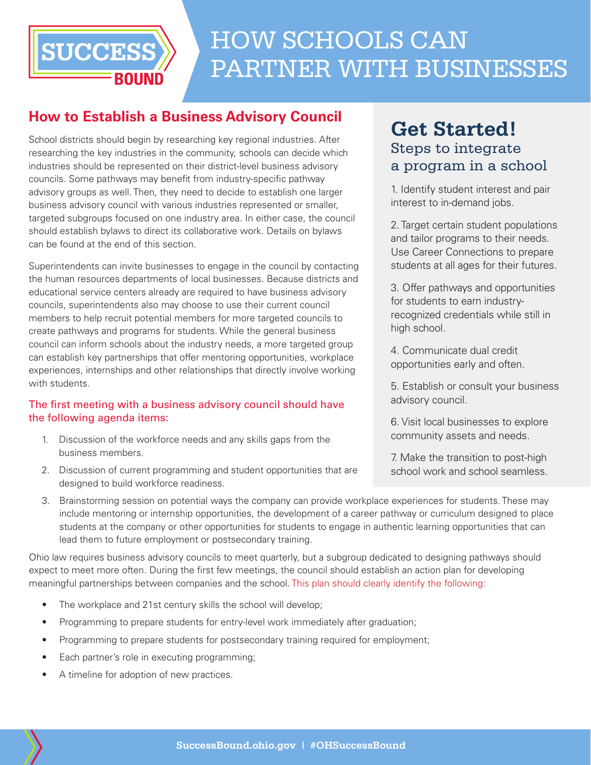

# HOW SCHOOLS CAN PARTNER WITH BUSINESSES

### **How to Establish a Business Advisory Council**

School districts should begin by researching key regional industries. After researching the key industries in the community, schools can decide which industries should be represented on their district-level business advisory councils. Some pathways may benefit from industry-specific pathway advisory groups as well. Then, they need to decide to establish one larger business advisory council with various industries represented or smaller, targeted subgroups focused on one industry area. In either case, the council should establish bylaws to direct its collaborative work. Details on bylaws can be found at the end of this section.

Superintendents can invite businesses to engage in the council by contacting the human resources departments of local businesses. Because districts and educational service centers already are required to have business advisory councils, superintendents also may choose to use their current council members to help recruit potential members for more targeted councils to create pathways and programs for students. While the general business council can inform schools about the industry needs, a more targeted group can establish key partnerships that offer mentoring opportunities, workplace experiences, internships and other relationships that directly involve working with students.

#### The first meeting with a business advisory council should have the following agenda items:

- 1. Discussion of the workforce needs and any skills gaps from the business members.
- 2. Discussion of current programming and student opportunities that are designed to build workforce readiness.

### **Get Started!** Steps to integrate a program in a school

1. Identify student interest and pair interest to [in-demand jobs.](https://jobseeker.ohiomeansjobs.monster.com/ExploreIt/In-DemandCareers.aspx)

2. Target certain student populations and tailor programs to their needs. Use [Career Connections](http://education.ohio.gov/Topics/Career-Tech/Career-Connections) to prepare students at all ages for their futures.

3. Offer pathways and opportunities for students to earn [industry](http://education.ohio.gov/Topics/Ohio-s-Graduation-Requirements/Industry-Recognized-Credentials-and-WorkKeys/Industry-Recognized-Credentials)[recognized credentials](http://education.ohio.gov/Topics/Ohio-s-Graduation-Requirements/Industry-Recognized-Credentials-and-WorkKeys/Industry-Recognized-Credentials) while still in high school.

4. Communicate dual credit opportunities early and often.

5. Establish or consult your [business](http://education.ohio.gov/Media/Ed-Connection/Dec-18-2017/Build-your-districts-business-advisory-council-o)  [advisory council](http://education.ohio.gov/Media/Ed-Connection/Dec-18-2017/Build-your-districts-business-advisory-council-o).

6. Visit local businesses to explore community assets and needs.

7. Make the transition to post-high school work and school seamless.

3. Brainstorming session on potential ways the company can provide workplace experiences for students. These may include mentoring or internship opportunities, the development of a career pathway or curriculum designed to place students at the company or other opportunities for students to engage in authentic learning opportunities that can lead them to future employment or postsecondary training.

Ohio law requires business advisory councils to meet quarterly, but a subgroup dedicated to designing pathways should expect to meet more often. During the first few meetings, the council should establish an action plan for developing meaningful partnerships between companies and the school. This plan should clearly identify the following:

- The workplace and 21st century skills the school will develop;
- Programming to prepare students for entry-level work immediately after graduation;
- Programming to prepare students for postsecondary training required for employment;
- Each partner's role in executing programming;
- A timeline for adoption of new practices.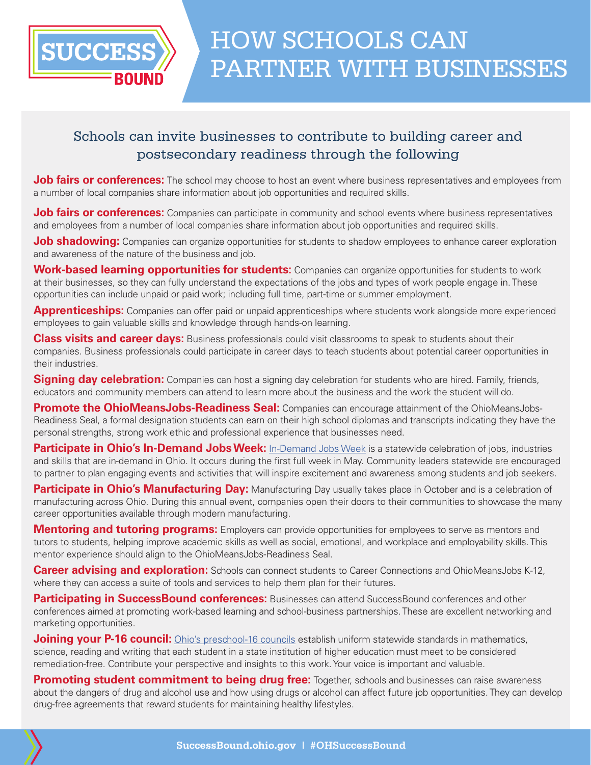

### Schools can invite businesses to contribute to building career and postsecondary readiness through the following

**Job fairs or conferences:** The school may choose to host an event where business representatives and employees from a number of local companies share information about job opportunities and required skills.

**Job fairs or conferences:** Companies can participate in community and school events where business representatives and employees from a number of local companies share information about job opportunities and required skills.

**Job shadowing:** Companies can organize opportunities for students to shadow employees to enhance career exploration and awareness of the nature of the business and job.

**Work-based learning opportunities for students:** Companies can organize opportunities for students to work at their businesses, so they can fully understand the expectations of the jobs and types of work people engage in. These opportunities can include unpaid or paid work; including full time, part-time or summer employment.

**Apprenticeships:** Companies can offer paid or unpaid apprenticeships where students work alongside more experienced employees to gain valuable skills and knowledge through hands-on learning.

**Class visits and career days:** Business professionals could visit classrooms to speak to students about their companies. Business professionals could participate in career days to teach students about potential career opportunities in their industries.

**Signing day celebration:** Companies can host a signing day celebration for students who are hired. Family, friends, educators and community members can attend to learn more about the business and the work the student will do.

**Promote the OhioMeansJobs-Readiness Seal:** Companies can encourage attainment of the OhioMeansJobs-Readiness Seal, a formal designation students can earn on their high school diplomas and transcripts indicating they have the personal strengths, strong work ethic and professional experience that businesses need.

**Participate in Ohio's [In-Demand Jobs Week](http://omj.ohio.gov/indemandjobsweek/index.stm):** In-Demand Jobs Week is a statewide celebration of jobs, industries and skills that are in-demand in Ohio. It occurs during the first full week in May. Community leaders statewide are encouraged to partner to plan engaging events and activities that will inspire excitement and awareness among students and job seekers.

**Participate in Ohio's Manufacturing Day:** Manufacturing Day usually takes place in October and is a celebration of manufacturing across Ohio. During this annual event, companies open their doors to their communities to showcase the many career opportunities available through modern manufacturing.

**Mentoring and tutoring programs:** Employers can provide opportunities for employees to serve as mentors and tutors to students, helping improve academic skills as well as social, emotional, and workplace and employability skills. This mentor experience should align to the OhioMeansJobs-Readiness Seal.

**Career advising and exploration:** Schools can connect students to Career Connections and OhioMeansJobs K-12, where they can access a suite of tools and services to help them plan for their futures.

**Participating in SuccessBound conferences:** Businesses can attend SuccessBound conferences and other conferences aimed at promoting work-based learning and school-business partnerships. These are excellent networking and marketing opportunities.

**Joining your P-16 council:** [Ohio's preschool-16 councils](https://www.ohiohighered.org/college-readiness) establish uniform statewide standards in mathematics, science, reading and writing that each student in a state institution of higher education must meet to be considered remediation-free. Contribute your perspective and insights to this work. Your voice is important and valuable.

**Promoting student commitment to being drug free:** Together, schools and businesses can raise awareness about the dangers of drug and alcohol use and how using drugs or alcohol can affect future job opportunities. They can develop drug-free agreements that reward students for maintaining healthy lifestyles.